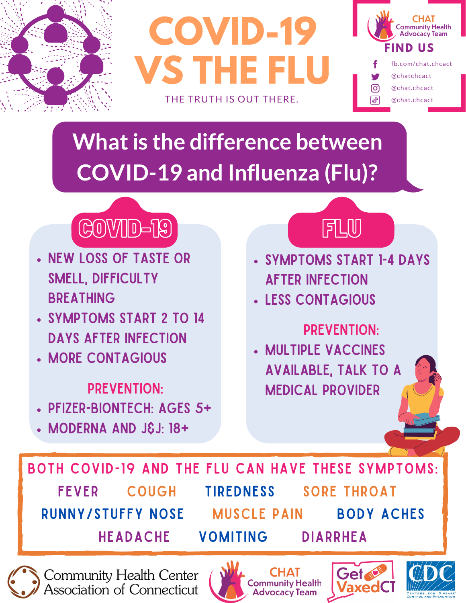

**COVID-19 VS THE FLU** THE TRUTH IS OUT THERE.



# **What is the difference between COVID-19 and Influenza (Flu)?**



- New loss of taste or SMELL, DIFFICULTY **BREATHING**
- Symptoms start 2 to 14 days after infection
- **. MORE CONTAGIOUS**

### PREVENTION:

- Pfizer-BioNTech: Ages 5+
- Moderna and J&J: 18+



- Symptoms start 1-4 days after infection
- Less contagious

## Prevention:

Multiple vaccines available, talk to a medical provider

Both COVID-19 and the Flu can have these symptoms: FEVER COUGH TIREDNESS SORE THROAT runny/stuffy nose muscle pain body aches headache vomiting diarrhea